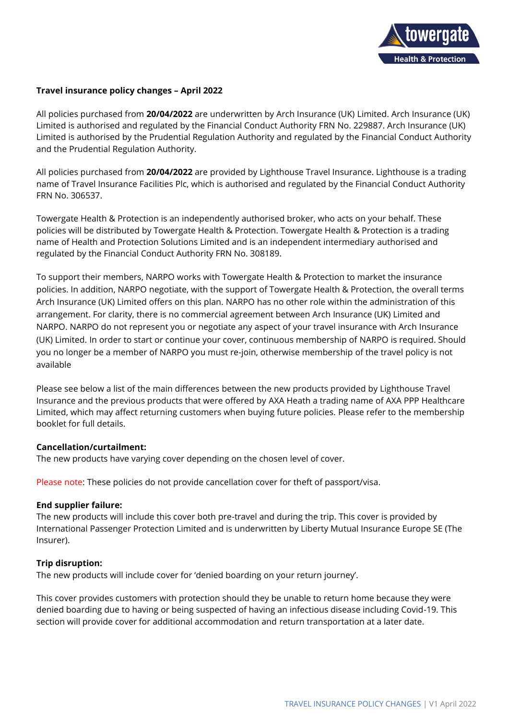

# **Travel insurance policy changes – April 2022**

All policies purchased from **20/04/2022** are underwritten by Arch Insurance (UK) Limited. Arch Insurance (UK) Limited is authorised and regulated by the Financial Conduct Authority FRN No. 229887. Arch Insurance (UK) Limited is authorised by the Prudential Regulation Authority and regulated by the Financial Conduct Authority and the Prudential Regulation Authority.

All policies purchased from **20/04/2022** are provided by Lighthouse Travel Insurance. Lighthouse is a trading name of Travel Insurance Facilities Plc, which is authorised and regulated by the Financial Conduct Authority FRN No. 306537.

Towergate Health & Protection is an independently authorised broker, who acts on your behalf. These policies will be distributed by Towergate Health & Protection. Towergate Health & Protection is a trading name of Health and Protection Solutions Limited and is an independent intermediary authorised and regulated by the Financial Conduct Authority FRN No. 308189.

To support their members, NARPO works with Towergate Health & Protection to market the insurance policies. In addition, NARPO negotiate, with the support of Towergate Health & Protection, the overall terms Arch Insurance (UK) Limited offers on this plan. NARPO has no other role within the administration of this arrangement. For clarity, there is no commercial agreement between Arch Insurance (UK) Limited and NARPO. NARPO do not represent you or negotiate any aspect of your travel insurance with Arch Insurance (UK) Limited. In order to start or continue your cover, continuous membership of NARPO is required. Should you no longer be a member of NARPO you must re-join, otherwise membership of the travel policy is not available

Please see below a list of the main differences between the new products provided by Lighthouse Travel Insurance and the previous products that were offered by AXA Heath a trading name of AXA PPP Healthcare Limited, which may affect returning customers when buying future policies. Please refer to the membership booklet for full details.

### **Cancellation/curtailment:**

The new products have varying cover depending on the chosen level of cover.

Please note: These policies do not provide cancellation cover for theft of passport/visa.

#### **End supplier failure:**

The new products will include this cover both pre-travel and during the trip. This cover is provided by International Passenger Protection Limited and is underwritten by Liberty Mutual Insurance Europe SE (The Insurer).

### **Trip disruption:**

The new products will include cover for 'denied boarding on your return journey'.

This cover provides customers with protection should they be unable to return home because they were denied boarding due to having or being suspected of having an infectious disease including Covid-19. This section will provide cover for additional accommodation and return transportation at a later date.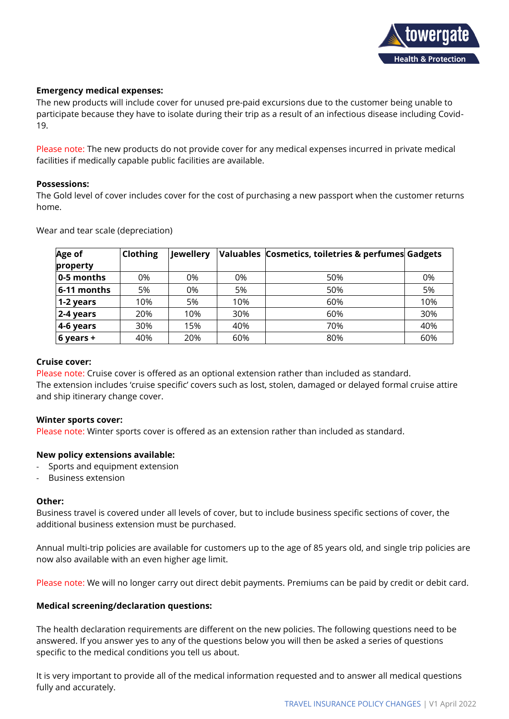

### **Emergency medical expenses:**

The new products will include cover for unused pre-paid excursions due to the customer being unable to participate because they have to isolate during their trip as a result of an infectious disease including Covid-19.

Please note: The new products do not provide cover for any medical expenses incurred in private medical facilities if medically capable public facilities are available.

### **Possessions:**

The Gold level of cover includes cover for the cost of purchasing a new passport when the customer returns home.

| Age of      | Clothing | <b>Jewellery</b> |     | Valuables Cosmetics, toiletries & perfumes Gadgets |     |
|-------------|----------|------------------|-----|----------------------------------------------------|-----|
| property    |          |                  |     |                                                    |     |
| 0-5 months  | 0%       | 0%               | 0%  | 50%                                                | 0%  |
| 6-11 months | 5%       | 0%               | 5%  | 50%                                                | 5%  |
| 1-2 years   | 10%      | 5%               | 10% | 60%                                                | 10% |
| 2-4 years   | 20%      | 10%              | 30% | 60%                                                | 30% |
| 4-6 years   | 30%      | 15%              | 40% | 70%                                                | 40% |
| 6 years +   | 40%      | 20%              | 60% | 80%                                                | 60% |

Wear and tear scale (depreciation)

### **Cruise cover:**

Please note: Cruise cover is offered as an optional extension rather than included as standard. The extension includes 'cruise specific' covers such as lost, stolen, damaged or delayed formal cruise attire and ship itinerary change cover.

### **Winter sports cover:**

Please note: Winter sports cover is offered as an extension rather than included as standard.

# **New policy extensions available:**

- Sports and equipment extension
- Business extension

### **Other:**

Business travel is covered under all levels of cover, but to include business specific sections of cover, the additional business extension must be purchased.

Annual multi-trip policies are available for customers up to the age of 85 years old, and single trip policies are now also available with an even higher age limit.

Please note: We will no longer carry out direct debit payments. Premiums can be paid by credit or debit card.

### **Medical screening/declaration questions:**

The health declaration requirements are different on the new policies. The following questions need to be answered. If you answer yes to any of the questions below you will then be asked a series of questions specific to the medical conditions you tell us about.

It is very important to provide all of the medical information requested and to answer all medical questions fully and accurately.